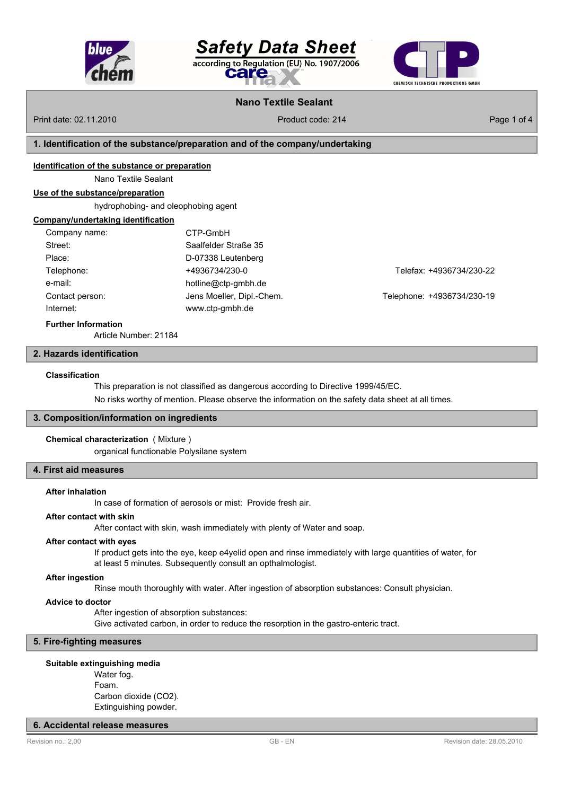

Salety Data Sheet according to Regulation (EU) No. 1907/2006 care



# **Nano Textile Sealant**

Print date: 02.11.2010 **Product code: 214** Product code: 214 **Product code: 214** Page 1 of 4

## **1. Identification of the substance/preparation and of the company/undertaking**

#### **Identification of the substance or preparation**

Nano Textile Sealant

#### **Use of the substance/preparation**

hydrophobing- and oleophobing agent

#### **Company/undertaking identification**

| Company name:   | CTP-GmbH                  |
|-----------------|---------------------------|
| Street:         | Saalfelder Straße 35      |
| Place:          | D-07338 Leutenberg        |
| Telephone:      | +4936734/230-0            |
| e-mail:         | hotline@ctp-gmbh.de       |
| Contact person: | Jens Moeller, Dipl.-Chem. |
| Internet:       | www.ctp-gmbh.de           |
|                 |                           |

Telefax: +4936734/230-22

Telephone: +4936734/230-19

#### **Further Information**

Article Number: 21184

## **2. Hazards identification**

#### **Classification**

This preparation is not classified as dangerous according to Directive 1999/45/EC.

No risks worthy of mention. Please observe the information on the safety data sheet at all times.

#### **3. Composition/information on ingredients**

#### **Chemical characterization** ( Mixture )

organical functionable Polysilane system

# **4. First aid measures**

#### **After inhalation**

In case of formation of aerosols or mist: Provide fresh air.

#### **After contact with skin**

After contact with skin, wash immediately with plenty of Water and soap.

## **After contact with eyes**

If product gets into the eye, keep e4yelid open and rinse immediately with large quantities of water, for at least 5 minutes. Subsequently consult an opthalmologist.

#### **After ingestion**

Rinse mouth thoroughly with water. After ingestion of absorption substances: Consult physician.

#### **Advice to doctor**

After ingestion of absorption substances: Give activated carbon, in order to reduce the resorption in the gastro-enteric tract.

# **5. Fire-fighting measures**

#### **Suitable extinguishing media**

Water fog. Foam. Carbon dioxide (CO2). Extinguishing powder.

## **6. Accidental release measures**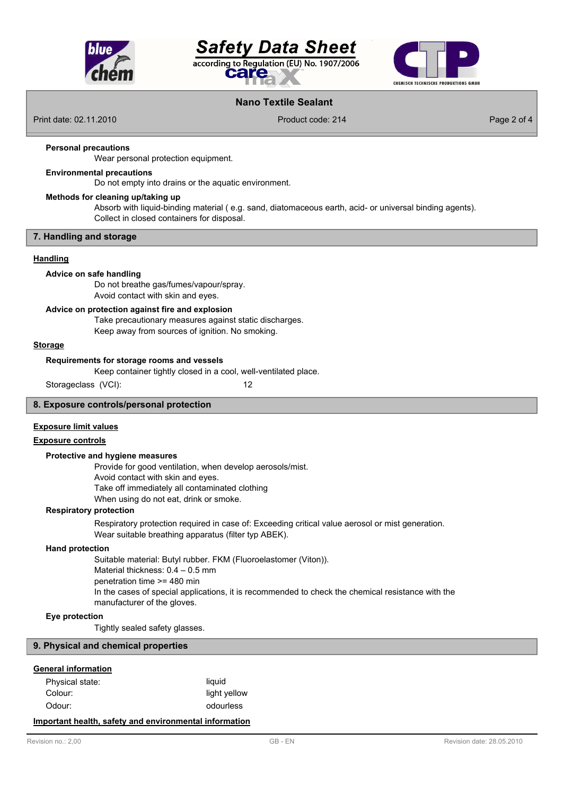

# **Safety Data Sheet** according to Regulation (EU) No. 1907/2006 eake



# **Nano Textile Sealant**

Print date: 02.11.2010 **Product code: 214** Product code: 214 Product code: 214 Page 2 of 4

#### **Personal precautions**

Wear personal protection equipment.

## **Environmental precautions**

Do not empty into drains or the aquatic environment.

# **Methods for cleaning up/taking up**

Absorb with liquid-binding material ( e.g. sand, diatomaceous earth, acid- or universal binding agents). Collect in closed containers for disposal.

## **7. Handling and storage**

#### **Handling**

#### **Advice on safe handling**

Do not breathe gas/fumes/vapour/spray. Avoid contact with skin and eyes.

#### **Advice on protection against fire and explosion**

Take precautionary measures against static discharges. Keep away from sources of ignition. No smoking.

#### **Storage**

#### **Requirements for storage rooms and vessels**

Keep container tightly closed in a cool, well-ventilated place.

Storageclass (VCI): 12

#### **8. Exposure controls/personal protection**

## **Exposure limit values**

## **Exposure controls**

#### **Protective and hygiene measures**

Provide for good ventilation, when develop aerosols/mist. Avoid contact with skin and eyes. Take off immediately all contaminated clothing

When using do not eat, drink or smoke.

#### **Respiratory protection**

Respiratory protection required in case of: Exceeding critical value aerosol or mist generation. Wear suitable breathing apparatus (filter typ ABEK).

#### **Hand protection**

Suitable material: Butyl rubber. FKM (Fluoroelastomer (Viton)). Material thickness: 0.4 – 0.5 mm penetration time >= 480 min In the cases of special applications, it is recommended to check the chemical resistance with the manufacturer of the gloves.

#### **Eye protection**

Tightly sealed safety glasses.

#### **9. Physical and chemical properties**

## **General information**

| Physical state: | liauid       |
|-----------------|--------------|
| Colour:         | light yellow |
| Odour:          | odourless    |

# **Important health, safety and environmental information**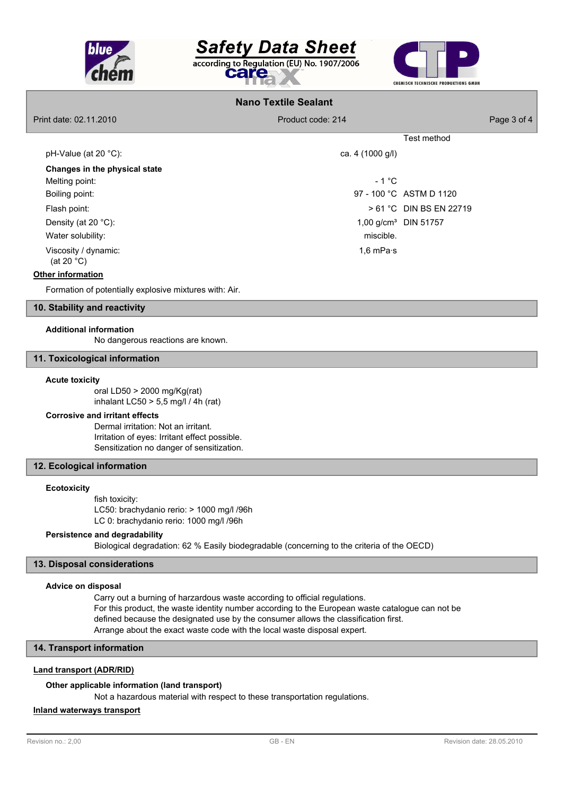

# **Safety Data Sheet** according to Regulation (EU) No. 1907/2006 care



# **Nano Textile Sealant**

Print date: 02.11.2010 **Product code: 214** Product code: 214 Product code: 214 Page 3 of 4

|                                              |                   | Test method                      |
|----------------------------------------------|-------------------|----------------------------------|
| pH-Value (at 20 $^{\circ}$ C):               | ca. 4 (1000 g/l)  |                                  |
| Changes in the physical state                |                   |                                  |
| Melting point:                               | $-1 °C$           |                                  |
| Boiling point:                               |                   | 97 - 100 °C ASTM D 1120          |
| Flash point:                                 |                   | > 61 °C DIN BS EN 22719          |
| Density (at 20 $°C$ ):                       |                   | 1,00 g/cm <sup>3</sup> DIN 51757 |
| Water solubility:                            | miscible.         |                                  |
| Viscosity / dynamic:<br>(at 20 $^{\circ}$ C) | 1,6 mPa $\cdot$ s |                                  |

## **Other information**

Formation of potentially explosive mixtures with: Air.

## **10. Stability and reactivity**

# **Additional information**

No dangerous reactions are known.

#### **11. Toxicological information**

#### **Acute toxicity**

oral LD50 > 2000 mg/Kg(rat) inhalant LC50  $> 5.5$  mg/l / 4h (rat)

#### **Corrosive and irritant effects**

Dermal irritation: Not an irritant. Irritation of eyes: Irritant effect possible. Sensitization no danger of sensitization.

# **12. Ecological information**

#### **Ecotoxicity**

fish toxicity: LC50: brachydanio rerio: > 1000 mg/l /96h LC 0: brachydanio rerio: 1000 mg/l /96h

## **Persistence and degradability**

Biological degradation: 62 % Easily biodegradable (concerning to the criteria of the OECD)

#### **13. Disposal considerations**

## **Advice on disposal**

Carry out a burning of harzardous waste according to official regulations. For this product, the waste identity number according to the European waste catalogue can not be defined because the designated use by the consumer allows the classification first. Arrange about the exact waste code with the local waste disposal expert.

# **14. Transport information**

## **Land transport (ADR/RID)**

#### **Other applicable information (land transport)**

Not a hazardous material with respect to these transportation regulations.

## **Inland waterways transport**